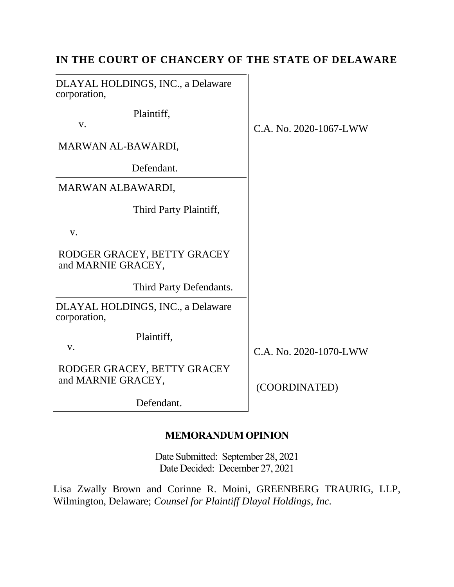# **IN THE COURT OF CHANCERY OF THE STATE OF DELAWARE**

| DLAYAL HOLDINGS, INC., a Delaware<br>corporation, |                        |
|---------------------------------------------------|------------------------|
| Plaintiff,                                        |                        |
| V.                                                | C.A. No. 2020-1067-LWW |
| MARWAN AL-BAWARDI,                                |                        |
| Defendant.                                        |                        |
| <b>MARWAN ALBAWARDI,</b>                          |                        |
| Third Party Plaintiff,                            |                        |
| V.                                                |                        |
| RODGER GRACEY, BETTY GRACEY<br>and MARNIE GRACEY, |                        |
| Third Party Defendants.                           |                        |
| DLAYAL HOLDINGS, INC., a Delaware<br>corporation, |                        |
| Plaintiff,                                        |                        |
| V.                                                | C.A. No. 2020-1070-LWW |
| RODGER GRACEY, BETTY GRACEY<br>and MARNIE GRACEY, | (COORDINATED)          |
| Defendant.                                        |                        |

## **MEMORANDUM OPINION**

Date Submitted: September 28, 2021 Date Decided: December 27, 2021

Lisa Zwally Brown and Corinne R. Moini, GREENBERG TRAURIG, LLP, Wilmington, Delaware; *Counsel for Plaintiff Dlayal Holdings, Inc.*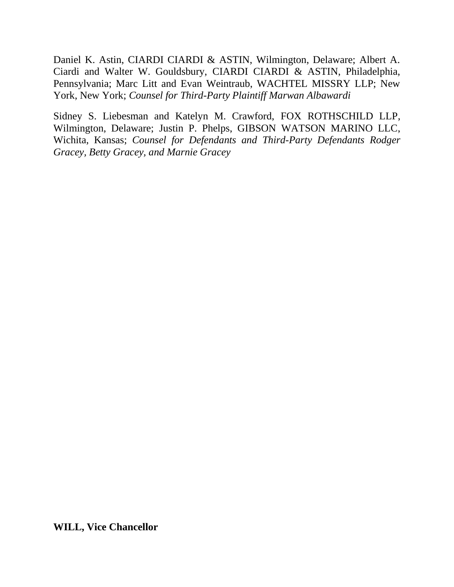Daniel K. Astin, CIARDI CIARDI & ASTIN, Wilmington, Delaware; Albert A. Ciardi and Walter W. Gouldsbury, CIARDI CIARDI & ASTIN, Philadelphia, Pennsylvania; Marc Litt and Evan Weintraub, WACHTEL MISSRY LLP; New York, New York; *Counsel for Third-Party Plaintiff Marwan Albawardi*

Sidney S. Liebesman and Katelyn M. Crawford, FOX ROTHSCHILD LLP, Wilmington, Delaware; Justin P. Phelps, GIBSON WATSON MARINO LLC, Wichita, Kansas; *Counsel for Defendants and Third-Party Defendants Rodger Gracey, Betty Gracey, and Marnie Gracey*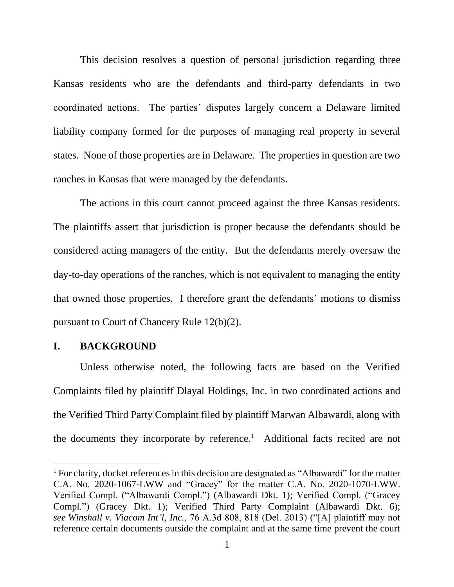This decision resolves a question of personal jurisdiction regarding three Kansas residents who are the defendants and third-party defendants in two coordinated actions. The parties' disputes largely concern a Delaware limited liability company formed for the purposes of managing real property in several states. None of those properties are in Delaware. The properties in question are two ranches in Kansas that were managed by the defendants.

The actions in this court cannot proceed against the three Kansas residents. The plaintiffs assert that jurisdiction is proper because the defendants should be considered acting managers of the entity. But the defendants merely oversaw the day-to-day operations of the ranches, which is not equivalent to managing the entity that owned those properties. I therefore grant the defendants' motions to dismiss pursuant to Court of Chancery Rule 12(b)(2).

### **I. BACKGROUND**

Unless otherwise noted, the following facts are based on the Verified Complaints filed by plaintiff Dlayal Holdings, Inc. in two coordinated actions and the Verified Third Party Complaint filed by plaintiff Marwan Albawardi, along with the documents they incorporate by reference.<sup>1</sup> Additional facts recited are not

 $<sup>1</sup>$  For clarity, docket references in this decision are designated as "Albawardi" for the matter</sup> C.A. No. 2020-1067-LWW and "Gracey" for the matter C.A. No. 2020-1070-LWW. Verified Compl. ("Albawardi Compl.") (Albawardi Dkt. 1); Verified Compl. ("Gracey Compl.") (Gracey Dkt. 1); Verified Third Party Complaint (Albawardi Dkt. 6); *see Winshall v. Viacom Int'l, Inc.*, 76 A.3d 808, 818 (Del. 2013) ("[A] plaintiff may not reference certain documents outside the complaint and at the same time prevent the court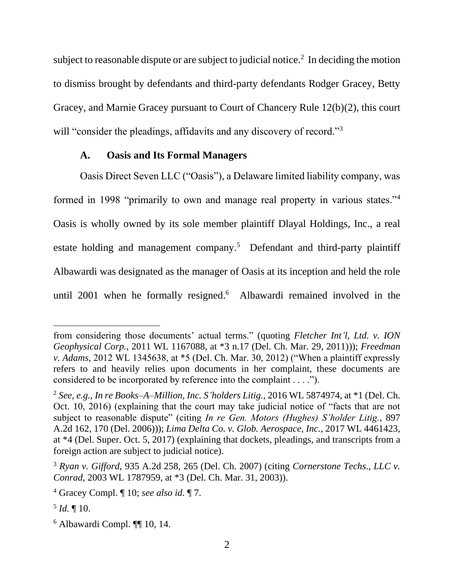subject to reasonable dispute or are subject to judicial notice.<sup>2</sup> In deciding the motion to dismiss brought by defendants and third-party defendants Rodger Gracey, Betty Gracey, and Marnie Gracey pursuant to Court of Chancery Rule 12(b)(2), this court will "consider the pleadings, affidavits and any discovery of record."<sup>3</sup>

#### **A. Oasis and Its Formal Managers**

Oasis Direct Seven LLC ("Oasis"), a Delaware limited liability company, was formed in 1998 "primarily to own and manage real property in various states."<sup>4</sup> Oasis is wholly owned by its sole member plaintiff Dlayal Holdings, Inc., a real estate holding and management company.<sup>5</sup> Defendant and third-party plaintiff Albawardi was designated as the manager of Oasis at its inception and held the role until 2001 when he formally resigned. 6 Albawardi remained involved in the

from considering those documents' actual terms." (quoting *Fletcher Int'l, Ltd. v. ION Geophysical Corp.*, 2011 WL 1167088, at \*3 n.17 (Del. Ch. Mar. 29, 2011))); *Freedman v. Adams*, 2012 WL 1345638, at \*5 (Del. Ch. Mar. 30, 2012) ("When a plaintiff expressly refers to and heavily relies upon documents in her complaint, these documents are considered to be incorporated by reference into the complaint . . . .").

<sup>2</sup> *See, e.g.*, *In re Books–A–Million, Inc. S'holders Litig.*, 2016 WL 5874974, at \*1 (Del. Ch. Oct. 10, 2016) (explaining that the court may take judicial notice of "facts that are not subject to reasonable dispute" (citing *In re Gen. Motors (Hughes) S'holder Litig.*, 897 A.2d 162, 170 (Del. 2006))); *Lima Delta Co. v. Glob. Aerospace, Inc.*, 2017 WL 4461423, at \*4 (Del. Super. Oct. 5, 2017) (explaining that dockets, pleadings, and transcripts from a foreign action are subject to judicial notice).

<sup>3</sup> *Ryan v. Gifford*, 935 A.2d 258, 265 (Del. Ch. 2007) (citing *Cornerstone Techs., LLC v. Conrad*, 2003 WL 1787959, at \*3 (Del. Ch. Mar. 31, 2003)).

<sup>4</sup> Gracey Compl. ¶ 10; *see also id.* ¶ 7.

 $^5$  *Id.*  $\P$  10.

<sup>6</sup> Albawardi Compl. ¶¶ 10, 14.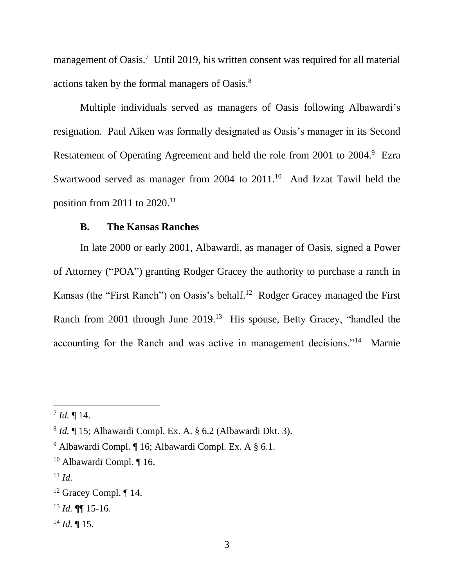management of Oasis.<sup>7</sup> Until 2019, his written consent was required for all material actions taken by the formal managers of Oasis.<sup>8</sup>

Multiple individuals served as managers of Oasis following Albawardi's resignation. Paul Aiken was formally designated as Oasis's manager in its Second Restatement of Operating Agreement and held the role from 2001 to 2004.<sup>9</sup> Ezra Swartwood served as manager from 2004 to 2011.<sup>10</sup> And Izzat Tawil held the position from 2011 to  $2020$ <sup>11</sup>

## **B. The Kansas Ranches**

In late 2000 or early 2001, Albawardi, as manager of Oasis, signed a Power of Attorney ("POA") granting Rodger Gracey the authority to purchase a ranch in Kansas (the "First Ranch") on Oasis's behalf.<sup>12</sup> Rodger Gracey managed the First Ranch from 2001 through June 2019.<sup>13</sup> His spouse, Betty Gracey, "handled the accounting for the Ranch and was active in management decisions."<sup>14</sup> Marnie

 $13$  *Id.* **¶** 15-16.

 $^{7}$  *Id.*  $\P$  14.

<sup>8</sup> *Id.* ¶ 15; Albawardi Compl. Ex. A. § 6.2 (Albawardi Dkt. 3).

<sup>9</sup> Albawardi Compl. ¶ 16; Albawardi Compl. Ex. A § 6.1.

 $10$  Albawardi Compl.  $\P$  16.

<sup>11</sup> *Id.*

<sup>12</sup> Gracey Compl. ¶ 14.

 $14$  *Id.* 15.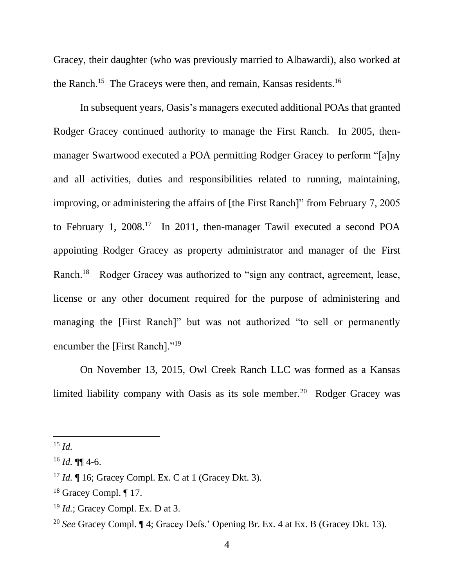Gracey, their daughter (who was previously married to Albawardi), also worked at the Ranch.<sup>15</sup> The Graceys were then, and remain, Kansas residents.<sup>16</sup>

In subsequent years, Oasis's managers executed additional POAs that granted Rodger Gracey continued authority to manage the First Ranch. In 2005, thenmanager Swartwood executed a POA permitting Rodger Gracey to perform "[a]ny and all activities, duties and responsibilities related to running, maintaining, improving, or administering the affairs of [the First Ranch]" from February 7, 2005 to February 1, 2008.<sup>17</sup> In 2011, then-manager Tawil executed a second POA appointing Rodger Gracey as property administrator and manager of the First Ranch.<sup>18</sup> Rodger Gracey was authorized to "sign any contract, agreement, lease, license or any other document required for the purpose of administering and managing the [First Ranch]" but was not authorized "to sell or permanently encumber the [First Ranch]."<sup>19</sup>

On November 13, 2015, Owl Creek Ranch LLC was formed as a Kansas limited liability company with Oasis as its sole member.<sup>20</sup> Rodger Gracey was

<sup>15</sup> *Id.*

 $^{16}$  *Id.* ¶¶ 4-6.

<sup>17</sup> *Id.* ¶ 16; Gracey Compl. Ex. C at 1 (Gracey Dkt. 3).

<sup>18</sup> Gracey Compl. ¶ 17.

<sup>19</sup> *Id.*; Gracey Compl. Ex. D at 3.

<sup>20</sup> *See* Gracey Compl. ¶ 4; Gracey Defs.' Opening Br. Ex. 4 at Ex. B (Gracey Dkt. 13).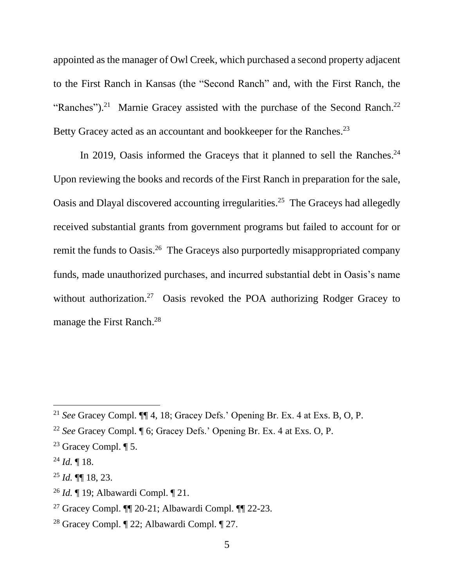appointed as the manager of Owl Creek, which purchased a second property adjacent to the First Ranch in Kansas (the "Second Ranch" and, with the First Ranch, the "Ranches").<sup>21</sup> Marnie Gracey assisted with the purchase of the Second Ranch.<sup>22</sup> Betty Gracey acted as an accountant and bookkeeper for the Ranches.<sup>23</sup>

In 2019, Oasis informed the Graceys that it planned to sell the Ranches.<sup>24</sup> Upon reviewing the books and records of the First Ranch in preparation for the sale, Oasis and Dlayal discovered accounting irregularities.<sup>25</sup> The Graceys had allegedly received substantial grants from government programs but failed to account for or remit the funds to Oasis.<sup>26</sup> The Graceys also purportedly misappropriated company funds, made unauthorized purchases, and incurred substantial debt in Oasis's name without authorization.<sup>27</sup> Oasis revoked the POA authorizing Rodger Gracey to manage the First Ranch.<sup>28</sup>

<sup>21</sup> *See* Gracey Compl. ¶¶ 4, 18; Gracey Defs.' Opening Br. Ex. 4 at Exs. B, O, P.

<sup>22</sup> *See* Gracey Compl. ¶ 6; Gracey Defs.' Opening Br. Ex. 4 at Exs. O, P.

<sup>&</sup>lt;sup>23</sup> Gracey Compl.  $\P$  5.

 $^{24}$  *Id.* ¶ 18.

<sup>25</sup> *Id.* ¶¶ 18, 23.

<sup>26</sup> *Id.* ¶ 19; Albawardi Compl. ¶ 21.

<sup>27</sup> Gracey Compl. ¶¶ 20-21; Albawardi Compl. ¶¶ 22-23.

<sup>28</sup> Gracey Compl. ¶ 22; Albawardi Compl. ¶ 27.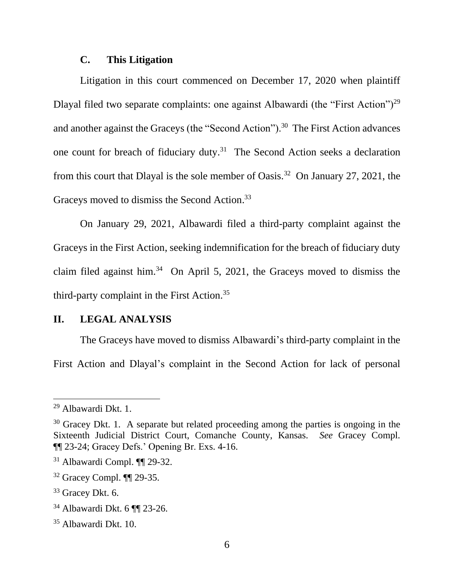#### **C. This Litigation**

Litigation in this court commenced on December 17, 2020 when plaintiff Dlayal filed two separate complaints: one against Albawardi (the "First Action")<sup>29</sup> and another against the Graceys (the "Second Action").<sup>30</sup> The First Action advances one count for breach of fiduciary duty.<sup>31</sup> The Second Action seeks a declaration from this court that Dlayal is the sole member of Oasis.<sup>32</sup> On January 27, 2021, the Graceys moved to dismiss the Second Action. 33

On January 29, 2021, Albawardi filed a third-party complaint against the Graceys in the First Action, seeking indemnification for the breach of fiduciary duty claim filed against him.<sup>34</sup> On April 5, 2021, the Graceys moved to dismiss the third-party complaint in the First Action.<sup>35</sup>

## **II. LEGAL ANALYSIS**

The Graceys have moved to dismiss Albawardi's third-party complaint in the First Action and Dlayal's complaint in the Second Action for lack of personal

<sup>29</sup> Albawardi Dkt. 1.

<sup>&</sup>lt;sup>30</sup> Gracey Dkt. 1. A separate but related proceeding among the parties is ongoing in the Sixteenth Judicial District Court, Comanche County, Kansas. *See* Gracey Compl. ¶¶ 23-24; Gracey Defs.' Opening Br. Exs. 4-16.

<sup>31</sup> Albawardi Compl. ¶¶ 29-32.

<sup>32</sup> Gracey Compl. ¶¶ 29-35.

<sup>&</sup>lt;sup>33</sup> Gracey Dkt. 6.

<sup>34</sup> Albawardi Dkt. 6 ¶¶ 23-26.

<sup>35</sup> Albawardi Dkt. 10.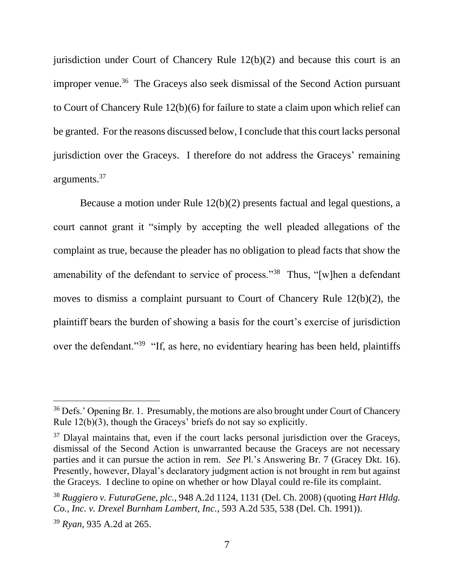jurisdiction under Court of Chancery Rule 12(b)(2) and because this court is an improper venue.<sup>36</sup> The Graceys also seek dismissal of the Second Action pursuant to Court of Chancery Rule 12(b)(6) for failure to state a claim upon which relief can be granted. For the reasons discussed below, I conclude that this court lacks personal jurisdiction over the Graceys. I therefore do not address the Graceys' remaining arguments.<sup>37</sup>

Because a motion under Rule 12(b)(2) presents factual and legal questions, a court cannot grant it "simply by accepting the well pleaded allegations of the complaint as true, because the pleader has no obligation to plead facts that show the amenability of the defendant to service of process."<sup>38</sup> Thus, "[w]hen a defendant moves to dismiss a complaint pursuant to Court of Chancery Rule 12(b)(2), the plaintiff bears the burden of showing a basis for the court's exercise of jurisdiction over the defendant."<sup>39</sup> "If, as here, no evidentiary hearing has been held, plaintiffs

<sup>&</sup>lt;sup>36</sup> Defs.' Opening Br. 1. Presumably, the motions are also brought under Court of Chancery Rule 12(b)(3), though the Graceys' briefs do not say so explicitly.

<sup>&</sup>lt;sup>37</sup> Dlayal maintains that, even if the court lacks personal jurisdiction over the Graceys, dismissal of the Second Action is unwarranted because the Graceys are not necessary parties and it can pursue the action in rem. *See* Pl.'s Answering Br. 7 (Gracey Dkt. 16). Presently, however, Dlayal's declaratory judgment action is not brought in rem but against the Graceys. I decline to opine on whether or how Dlayal could re-file its complaint.

<sup>38</sup> *Ruggiero v. FuturaGene, plc.*, 948 A.2d 1124, 1131 (Del. Ch. 2008) (quoting *Hart Hldg. Co., Inc. v. Drexel Burnham Lambert, Inc.*, 593 A.2d 535, 538 (Del. Ch. 1991)).

<sup>39</sup> *Ryan*, 935 A.2d at 265.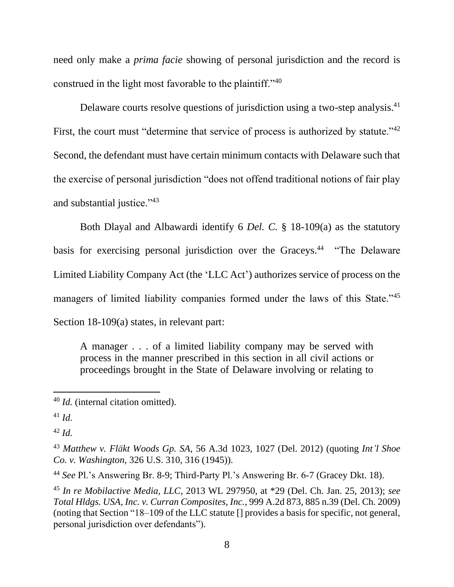need only make a *prima facie* showing of personal jurisdiction and the record is construed in the light most favorable to the plaintiff."<sup>40</sup>

Delaware courts resolve questions of jurisdiction using a two-step analysis.<sup>41</sup> First, the court must "determine that service of process is authorized by statute."<sup>42</sup> Second, the defendant must have certain minimum contacts with Delaware such that the exercise of personal jurisdiction "does not offend traditional notions of fair play and substantial justice."<sup>43</sup>

Both Dlayal and Albawardi identify 6 *Del. C.* § 18-109(a) as the statutory basis for exercising personal jurisdiction over the Graceys.<sup>44</sup> "The Delaware Limited Liability Company Act (the 'LLC Act') authorizes service of process on the managers of limited liability companies formed under the laws of this State."<sup>45</sup> Section 18-109(a) states, in relevant part:

A manager . . . of a limited liability company may be served with process in the manner prescribed in this section in all civil actions or proceedings brought in the State of Delaware involving or relating to

<sup>41</sup> *Id.*

<sup>42</sup> *Id.*

<sup>40</sup> *Id.* (internal citation omitted).

<sup>43</sup> *Matthew v. Fläkt Woods Gp. SA*, 56 A.3d 1023, 1027 (Del. 2012) (quoting *Int'l Shoe Co. v. Washington*, 326 U.S. 310, 316 (1945)).

<sup>44</sup> *See* Pl.'s Answering Br. 8-9; Third-Party Pl.'s Answering Br. 6-7 (Gracey Dkt. 18).

<sup>45</sup> *In re Mobilactive Media, LLC*, 2013 WL 297950, at \*29 (Del. Ch. Jan. 25, 2013); *see Total Hldgs. USA, Inc. v. Curran Composites, Inc.*, 999 A.2d 873, 885 n.39 (Del. Ch. 2009) (noting that Section "18–109 of the LLC statute [] provides a basis for specific, not general, personal jurisdiction over defendants").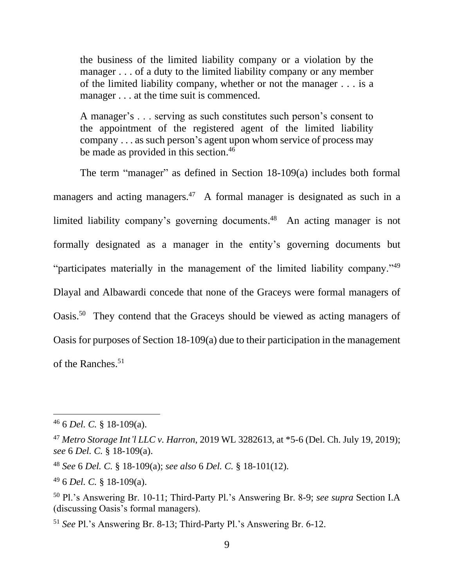the business of the limited liability company or a violation by the manager . . . of a duty to the limited liability company or any member of the limited liability company, whether or not the manager . . . is a manager . . . at the time suit is commenced.

A manager's . . . serving as such constitutes such person's consent to the appointment of the registered agent of the limited liability company . . . as such person's agent upon whom service of process may be made as provided in this section. 46

The term "manager" as defined in Section 18-109(a) includes both formal managers and acting managers.<sup>47</sup> A formal manager is designated as such in a limited liability company's governing documents. <sup>48</sup> An acting manager is not formally designated as a manager in the entity's governing documents but "participates materially in the management of the limited liability company."<sup>49</sup> Dlayal and Albawardi concede that none of the Graceys were formal managers of Oasis.<sup>50</sup> They contend that the Graceys should be viewed as acting managers of Oasis for purposes of Section 18-109(a) due to their participation in the management of the Ranches. 51

<sup>46</sup> 6 *Del. C.* § 18-109(a).

<sup>47</sup> *Metro Storage Int'l LLC v. Harron*, 2019 WL 3282613, at \*5-6 (Del. Ch. July 19, 2019); *see* 6 *Del. C.* § 18-109(a).

<sup>48</sup> *See* 6 *Del. C.* § 18-109(a); *see also* 6 *Del. C.* § 18-101(12).

<sup>49</sup> 6 *Del. C.* § 18-109(a).

<sup>50</sup> Pl.'s Answering Br. 10-11; Third-Party Pl.'s Answering Br. 8-9; *see supra* Section I.A (discussing Oasis's formal managers).

<sup>51</sup> *See* Pl.'s Answering Br. 8-13; Third-Party Pl.'s Answering Br. 6-12.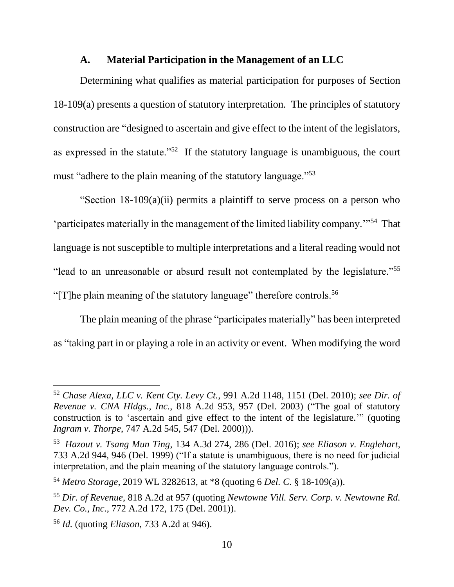#### **A. Material Participation in the Management of an LLC**

Determining what qualifies as material participation for purposes of Section 18-109(a) presents a question of statutory interpretation. The principles of statutory construction are "designed to ascertain and give effect to the intent of the legislators, as expressed in the statute."<sup>52</sup> If the statutory language is unambiguous, the court must "adhere to the plain meaning of the statutory language."<sup>53</sup>

"Section 18-109(a)(ii) permits a plaintiff to serve process on a person who 'participates materially in the management of the limited liability company."<sup>54</sup> That language is not susceptible to multiple interpretations and a literal reading would not "lead to an unreasonable or absurd result not contemplated by the legislature."<sup>55</sup> "[T]he plain meaning of the statutory language" therefore controls.<sup>56</sup>

The plain meaning of the phrase "participates materially" has been interpreted as "taking part in or playing a role in an activity or event. When modifying the word

<sup>52</sup> *Chase Alexa, LLC v. Kent Cty. Levy Ct.*, 991 A.2d 1148, 1151 (Del. 2010); *see Dir. of Revenue v. CNA Hldgs., Inc.*, 818 A.2d 953, 957 (Del. 2003) ("The goal of statutory construction is to 'ascertain and give effect to the intent of the legislature.'" (quoting *Ingram v. Thorpe*, 747 A.2d 545, 547 (Del. 2000))).

<sup>53</sup> *Hazout v. Tsang Mun Ting*, 134 A.3d 274, 286 (Del. 2016); *see Eliason v. Englehart*, 733 A.2d 944, 946 (Del. 1999) ("If a statute is unambiguous, there is no need for judicial interpretation, and the plain meaning of the statutory language controls.").

<sup>54</sup> *Metro Storage*, 2019 WL 3282613, at \*8 (quoting 6 *Del. C*. § 18-109(a)).

<sup>55</sup> *Dir. of Revenue*, 818 A.2d at 957 (quoting *Newtowne Vill. Serv. Corp. v. Newtowne Rd. Dev. Co., Inc.*, 772 A.2d 172, 175 (Del. 2001)).

<sup>56</sup> *Id.* (quoting *Eliason*, 733 A.2d at 946).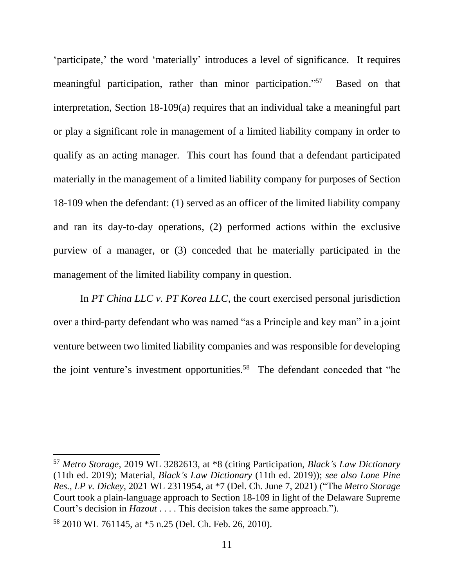'participate,' the word 'materially' introduces a level of significance. It requires meaningful participation, rather than minor participation."<sup>57</sup> Based on that interpretation, Section 18-109(a) requires that an individual take a meaningful part or play a significant role in management of a limited liability company in order to qualify as an acting manager. This court has found that a defendant participated materially in the management of a limited liability company for purposes of Section 18-109 when the defendant: (1) served as an officer of the limited liability company and ran its day-to-day operations, (2) performed actions within the exclusive purview of a manager, or (3) conceded that he materially participated in the management of the limited liability company in question.

In *PT China LLC v. PT Korea LLC*, the court exercised personal jurisdiction over a third-party defendant who was named "as a Principle and key man" in a joint venture between two limited liability companies and was responsible for developing the joint venture's investment opportunities.<sup>58</sup> The defendant conceded that "he

<sup>57</sup> *Metro Storage*, 2019 WL 3282613, at \*8 (citing Participation, *Black's Law Dictionary* (11th ed. 2019); Material, *Black's Law Dictionary* (11th ed. 2019)); *see also Lone Pine Res., LP v. Dickey*, 2021 WL 2311954, at \*7 (Del. Ch. June 7, 2021) ("The *Metro Storage*  Court took a plain-language approach to Section 18-109 in light of the Delaware Supreme Court's decision in *Hazout* . . . . This decision takes the same approach.").

<sup>58</sup> 2010 WL 761145, at \*5 n.25 (Del. Ch. Feb. 26, 2010).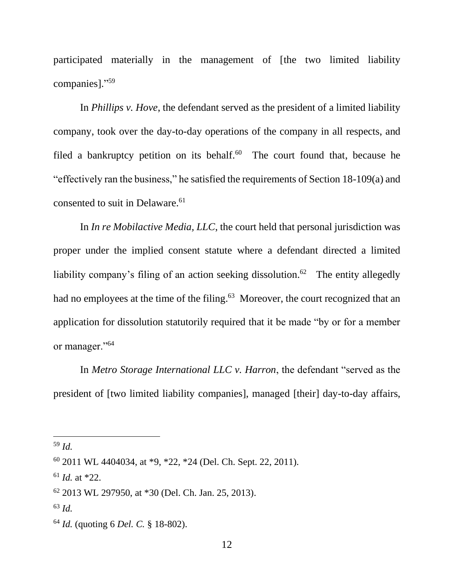participated materially in the management of [the two limited liability companies]." 59

In *Phillips v. Hove*, the defendant served as the president of a limited liability company, took over the day-to-day operations of the company in all respects, and filed a bankruptcy petition on its behalf.<sup>60</sup> The court found that, because he "effectively ran the business," he satisfied the requirements of Section 18-109(a) and consented to suit in Delaware.<sup>61</sup>

In *In re Mobilactive Media, LLC*, the court held that personal jurisdiction was proper under the implied consent statute where a defendant directed a limited liability company's filing of an action seeking dissolution.<sup>62</sup> The entity allegedly had no employees at the time of the filing.<sup>63</sup> Moreover, the court recognized that an application for dissolution statutorily required that it be made "by or for a member or manager."<sup>64</sup>

In *Metro Storage International LLC v. Harron*, the defendant "served as the president of [two limited liability companies], managed [their] day-to-day affairs,

<sup>59</sup> *Id.*

<sup>60</sup> 2011 WL 4404034, at \*9, \*22, \*24 (Del. Ch. Sept. 22, 2011).

 $61$  *Id.* at \*22.

<sup>62</sup> 2013 WL 297950, at \*30 (Del. Ch. Jan. 25, 2013).

<sup>63</sup> *Id.*

<sup>64</sup> *Id.* (quoting 6 *Del. C.* § 18-802).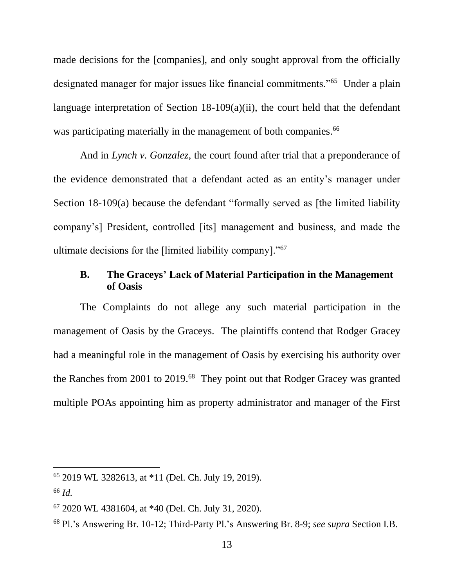made decisions for the [companies], and only sought approval from the officially designated manager for major issues like financial commitments."<sup>65</sup> Under a plain language interpretation of Section 18-109(a)(ii), the court held that the defendant was participating materially in the management of both companies.<sup>66</sup>

And in *Lynch v. Gonzalez*, the court found after trial that a preponderance of the evidence demonstrated that a defendant acted as an entity's manager under Section 18-109(a) because the defendant "formally served as [the limited liability company's] President, controlled [its] management and business, and made the ultimate decisions for the [limited liability company]."<sup>67</sup>

## **B. The Graceys' Lack of Material Participation in the Management of Oasis**

The Complaints do not allege any such material participation in the management of Oasis by the Graceys. The plaintiffs contend that Rodger Gracey had a meaningful role in the management of Oasis by exercising his authority over the Ranches from 2001 to 2019. <sup>68</sup> They point out that Rodger Gracey was granted multiple POAs appointing him as property administrator and manager of the First

<sup>65</sup> 2019 WL 3282613, at \*11 (Del. Ch. July 19, 2019).

<sup>66</sup> *Id.*

<sup>67</sup> 2020 WL 4381604, at \*40 (Del. Ch. July 31, 2020).

<sup>68</sup> Pl.'s Answering Br. 10-12; Third-Party Pl.'s Answering Br. 8-9; *see supra* Section I.B.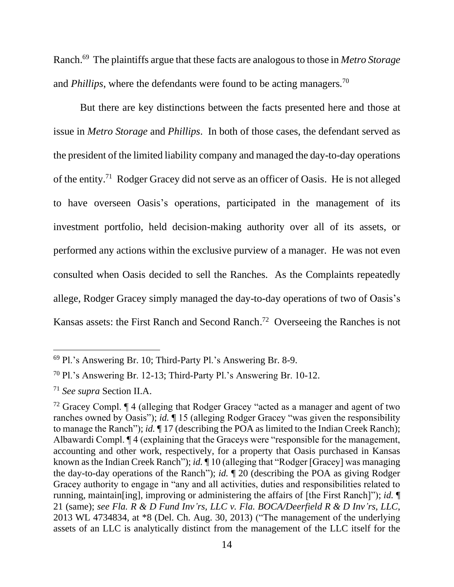Ranch. 69 The plaintiffs argue that these facts are analogous to those in *Metro Storage*  and *Phillips*, where the defendants were found to be acting managers*.* 70

But there are key distinctions between the facts presented here and those at issue in *Metro Storage* and *Phillips*. In both of those cases, the defendant served as the president of the limited liability company and managed the day-to-day operations of the entity.<sup>71</sup> Rodger Gracey did not serve as an officer of Oasis. He is not alleged to have overseen Oasis's operations, participated in the management of its investment portfolio, held decision-making authority over all of its assets, or performed any actions within the exclusive purview of a manager. He was not even consulted when Oasis decided to sell the Ranches. As the Complaints repeatedly allege, Rodger Gracey simply managed the day-to-day operations of two of Oasis's Kansas assets: the First Ranch and Second Ranch. <sup>72</sup> Overseeing the Ranches is not

<sup>69</sup> Pl.'s Answering Br. 10; Third-Party Pl.'s Answering Br. 8-9.

<sup>70</sup> Pl.'s Answering Br. 12-13; Third-Party Pl.'s Answering Br. 10-12.

<sup>71</sup> *See supra* Section II.A.

<sup>72</sup> Gracey Compl. ¶ 4 (alleging that Rodger Gracey "acted as a manager and agent of two ranches owned by Oasis"); *id.* ¶ 15 (alleging Rodger Gracey "was given the responsibility to manage the Ranch"); *id.* ¶ 17 (describing the POA as limited to the Indian Creek Ranch); Albawardi Compl. ¶ 4 (explaining that the Graceys were "responsible for the management, accounting and other work, respectively, for a property that Oasis purchased in Kansas known as the Indian Creek Ranch"); *id.* ¶ 10 (alleging that "Rodger [Gracey] was managing the day-to-day operations of the Ranch"); *id.* ¶ 20 (describing the POA as giving Rodger Gracey authority to engage in "any and all activities, duties and responsibilities related to running, maintain[ing], improving or administering the affairs of [the First Ranch]"); *id.* ¶ 21 (same); *see Fla. R & D Fund Inv'rs, LLC v. Fla. BOCA/Deerfield R & D Inv'rs, LLC*, 2013 WL 4734834, at \*8 (Del. Ch. Aug. 30, 2013) ("The management of the underlying assets of an LLC is analytically distinct from the management of the LLC itself for the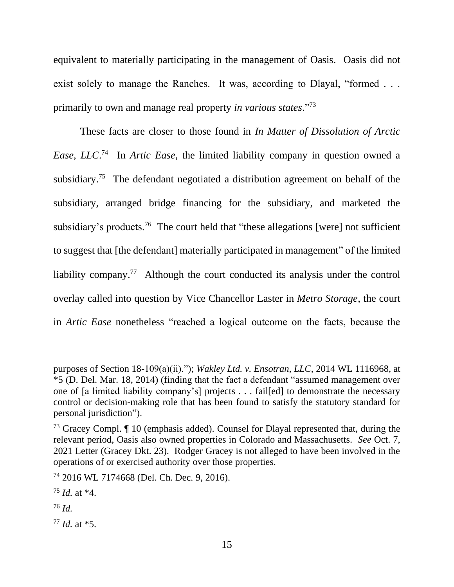equivalent to materially participating in the management of Oasis. Oasis did not exist solely to manage the Ranches. It was, according to Dlayal, "formed . . . primarily to own and manage real property *in various states*."<sup>73</sup>

These facts are closer to those found in *In Matter of Dissolution of Arctic Ease, LLC*. <sup>74</sup> In *Artic Ease*, the limited liability company in question owned a subsidiary.<sup>75</sup> The defendant negotiated a distribution agreement on behalf of the subsidiary, arranged bridge financing for the subsidiary, and marketed the subsidiary's products.<sup>76</sup> The court held that "these allegations [were] not sufficient to suggest that [the defendant] materially participated in management" of the limited liability company.<sup>77</sup> Although the court conducted its analysis under the control overlay called into question by Vice Chancellor Laster in *Metro Storage*, the court in *Artic Ease* nonetheless "reached a logical outcome on the facts, because the

<sup>76</sup> *Id.*

<sup>77</sup> *Id.* at \*5.

purposes of Section 18-109(a)(ii)."); *Wakley Ltd. v. Ensotran, LLC*, 2014 WL 1116968, at \*5 (D. Del. Mar. 18, 2014) (finding that the fact a defendant "assumed management over one of [a limited liability company's] projects . . . fail[ed] to demonstrate the necessary control or decision-making role that has been found to satisfy the statutory standard for personal jurisdiction").

<sup>73</sup> Gracey Compl. ¶ 10 (emphasis added). Counsel for Dlayal represented that, during the relevant period, Oasis also owned properties in Colorado and Massachusetts. *See* Oct. 7, 2021 Letter (Gracey Dkt. 23). Rodger Gracey is not alleged to have been involved in the operations of or exercised authority over those properties.

<sup>74</sup> 2016 WL 7174668 (Del. Ch. Dec. 9, 2016).

<sup>75</sup> *Id.* at \*4.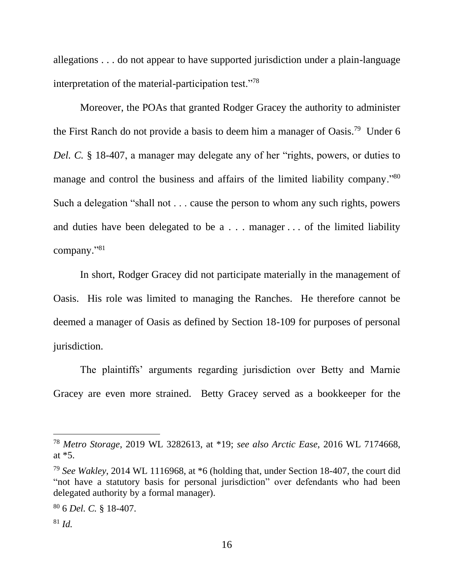allegations . . . do not appear to have supported jurisdiction under a plain-language interpretation of the material-participation test."<sup>78</sup>

Moreover, the POAs that granted Rodger Gracey the authority to administer the First Ranch do not provide a basis to deem him a manager of Oasis.<sup>79</sup> Under 6 *Del. C.* § 18-407, a manager may delegate any of her "rights, powers, or duties to manage and control the business and affairs of the limited liability company."<sup>80</sup> Such a delegation "shall not . . . cause the person to whom any such rights, powers and duties have been delegated to be a . . . manager . . . of the limited liability company." 81

In short, Rodger Gracey did not participate materially in the management of Oasis. His role was limited to managing the Ranches. He therefore cannot be deemed a manager of Oasis as defined by Section 18-109 for purposes of personal jurisdiction.

The plaintiffs' arguments regarding jurisdiction over Betty and Marnie Gracey are even more strained. Betty Gracey served as a bookkeeper for the

<sup>78</sup> *Metro Storage*, 2019 WL 3282613, at \*19; *see also Arctic Ease*, 2016 WL 7174668, at \*5.

<sup>79</sup> *See Wakley*, 2014 WL 1116968, at \*6 (holding that, under Section 18-407, the court did "not have a statutory basis for personal jurisdiction" over defendants who had been delegated authority by a formal manager).

<sup>80</sup> 6 *Del. C.* § 18-407.

<sup>81</sup> *Id.*